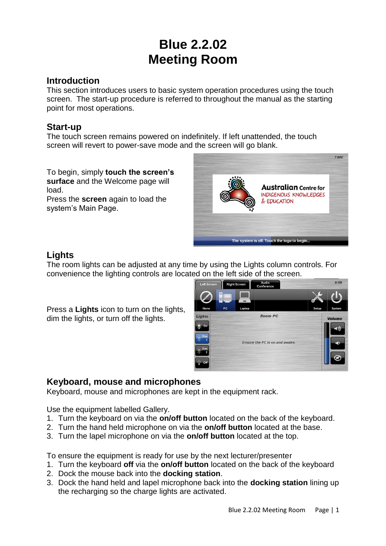# **Blue 2.2.02 Meeting Room**

### **Introduction**

This section introduces users to basic system operation procedures using the touch screen. The start-up procedure is referred to throughout the manual as the starting point for most operations.

# **Start-up**

The touch screen remains powered on indefinitely. If left unattended, the touch screen will revert to power-save mode and the screen will go blank.

To begin, simply **touch the screen's surface** and the Welcome page will load.

Press the **screen** again to load the system's Main Page.



# **Lights**

The room lights can be adjusted at any time by using the Lights column controls. For convenience the lighting controls are located on the left side of the screen.

Press a **Lights** icon to turn on the lights, dim the lights, or turn off the lights.

| Left Screen           |                                | <b>Right Screen</b> | Audio<br>Conference | 8:58  |               |
|-----------------------|--------------------------------|---------------------|---------------------|-------|---------------|
|                       | $=$                            |                     |                     |       |               |
|                       |                                |                     |                     |       |               |
| None                  | PC                             | Laptop              |                     | Setup | System        |
| <b>Lights</b>         | <b>Room PC</b>                 |                     |                     |       | <b>Volume</b> |
| On                    | Ensure the PC is on and awake. |                     |                     |       | -(1))         |
| Dim                   |                                |                     |                     |       | - 1           |
| Dim<br>$\overline{2}$ |                                |                     |                     |       |               |
| $\mathbb{Q}$<br>Off.  |                                |                     |                     |       |               |

# **Keyboard, mouse and microphones**

Keyboard, mouse and microphones are kept in the equipment rack.

Use the equipment labelled Gallery.

- 1. Turn the keyboard on via the **on/off button** located on the back of the keyboard.
- 2. Turn the hand held microphone on via the **on/off button** located at the base.
- 3. Turn the lapel microphone on via the **on/off button** located at the top.

To ensure the equipment is ready for use by the next lecturer/presenter

- 1. Turn the keyboard **off** via the **on/off button** located on the back of the keyboard
- 2. Dock the mouse back into the **docking station**.
- 3. Dock the hand held and lapel microphone back into the **docking station** lining up the recharging so the charge lights are activated.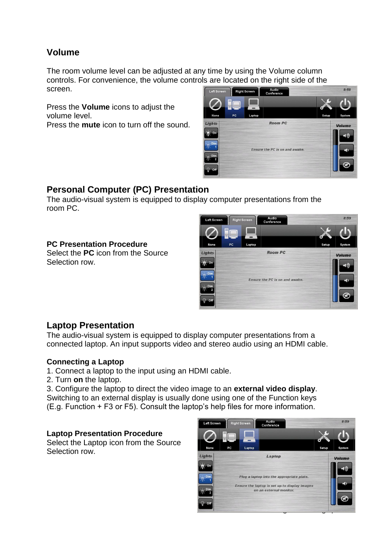# **Volume**

The room volume level can be adjusted at any time by using the Volume column controls. For convenience, the volume controls are located on the right side of the screen. **Right Screen** Audio<br>Conference

Press the **Volume** icons to adjust the volume level.

Press the **mute** icon to turn off the sound.



# **Personal Computer (PC) Presentation**

The audio-visual system is equipped to display computer presentations from the room PC.

### **PC Presentation Procedure**

Select the **PC** icon from the Source Selection row.



### **Laptop Presentation**

The audio-visual system is equipped to display computer presentations from a connected laptop. An input supports video and stereo audio using an HDMI cable.

#### **Connecting a Laptop**

- 1. Connect a laptop to the input using an HDMI cable.
- 2. Turn **on** the laptop.

3. Configure the laptop to direct the video image to an **external video display**. Switching to an external display is usually done using one of the Function keys

(E.g. Function + F3 or F5). Consult the laptop's help files for more information.

#### **Laptop Presentation Procedure**

Select the Laptop icon from the Source Selection row.

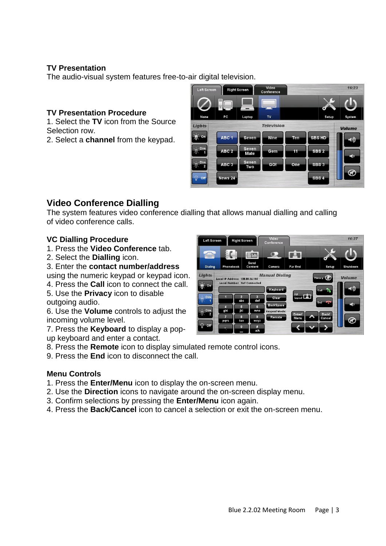### **TV Presentation**

The audio-visual system features free-to-air digital television.

#### **TV Presentation Procedure**

1. Select the **TV** icon from the Source Selection row.

2. Select a **channel** from the keypad.



### **Video Conference Dialling**

The system features video conference dialling that allows manual dialling and calling of video conference calls.

#### **VC Dialling Procedure**

- 1. Press the **Video Conference** tab.
- 2. Select the **Dialling** icon.
- 3. Enter the **contact number/address**

using the numeric keypad or keypad icon.

4. Press the **Call** icon to connect the call.

5. Use the **Privacy** icon to disable outgoing audio.

6. Use the **Volume** controls to adjust the incoming volume level.

7. Press the **Keyboard** to display a popup keyboard and enter a contact.

8. Press the **Remote** icon to display simulated remote control icons.

9. Press the **End** icon to disconnect the call.

#### **Menu Controls**

- 1. Press the **Enter/Menu** icon to display the on-screen menu.
- 2. Use the **Direction** icons to navigate around the on-screen display menu.
- 3. Confirm selections by pressing the **Enter/Menu** icon again.
- 4. Press the **Back/Cancel** icon to cancel a selection or exit the on-screen menu.

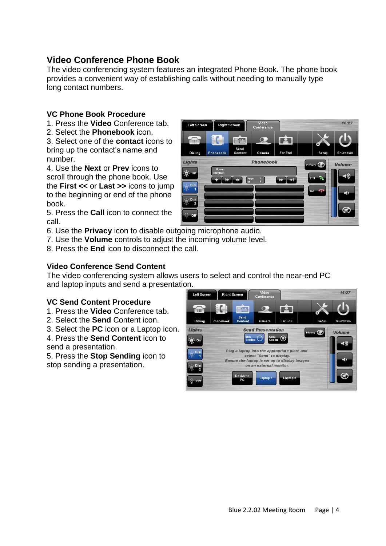# **Video Conference Phone Book**

The video conferencing system features an integrated Phone Book. The phone book provides a convenient way of establishing calls without needing to manually type long contact numbers.

### **VC Phone Book Procedure**

- 1. Press the **Video** Conference tab.
- 2. Select the **Phonebook** icon.

3. Select one of the **contact** icons to bring up the contact's name and number.

4. Use the **Next** or **Prev** icons to scroll through the phone book. Use the **First <<** or **Last >>** icons to jump to the beginning or end of the phone book.

5. Press the **Call** icon to connect the call.

6. Use the **Privacy** icon to disable outgoing microphone audio.

- 7. Use the **Volume** controls to adjust the incoming volume level.
- 8. Press the **End** icon to disconnect the call.

### **Video Conference Send Content**

The video conferencing system allows users to select and control the near-end PC and laptop inputs and send a presentation.

### **VC Send Content Procedure**

1. Press the **Video** Conference tab.

- 2. Select the **Send** Content icon.
- 3. Select the **PC** icon or a Laptop icon.

4. Press the **Send Content** icon to send a presentation.

5. Press the **Stop Sending** icon to stop sending a presentation.



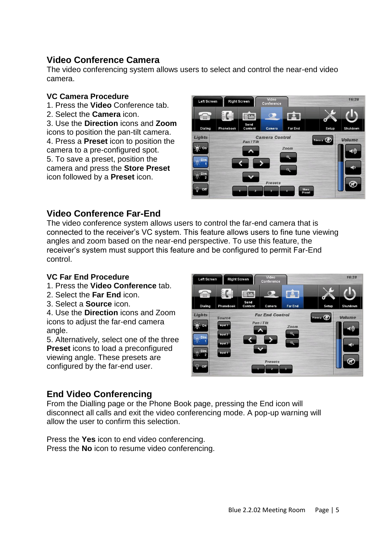# **Video Conference Camera**

The video conferencing system allows users to select and control the near-end video camera.

#### **VC Camera Procedure**

- 1. Press the **Video** Conference tab.
- 2. Select the **Camera** icon.

3. Use the **Direction** icons and **Zoom** icons to position the pan-tilt camera. 4. Press a **Preset** icon to position the camera to a pre-configured spot. 5. To save a preset, position the camera and press the **Store Preset** icon followed by a **Preset** icon.



# **Video Conference Far-End**

The video conference system allows users to control the far-end camera that is connected to the receiver's VC system. This feature allows users to fine tune viewing angles and zoom based on the near-end perspective. To use this feature, the receiver's system must support this feature and be configured to permit Far-End control.

### **VC Far End Procedure**

- 1. Press the **Video Conference** tab.
- 2. Select the **Far End** icon.
- 3. Select a **Source** icon.

4. Use the **Direction** icons and Zoom icons to adjust the far-end camera angle.

5. Alternatively, select one of the three **Preset** icons to load a preconfigured viewing angle. These presets are configured by the far-end user.



# **End Video Conferencing**

From the Dialling page or the Phone Book page, pressing the End icon will disconnect all calls and exit the video conferencing mode. A pop-up warning will allow the user to confirm this selection.

Press the **Yes** icon to end video conferencing. Press the **No** icon to resume video conferencing.